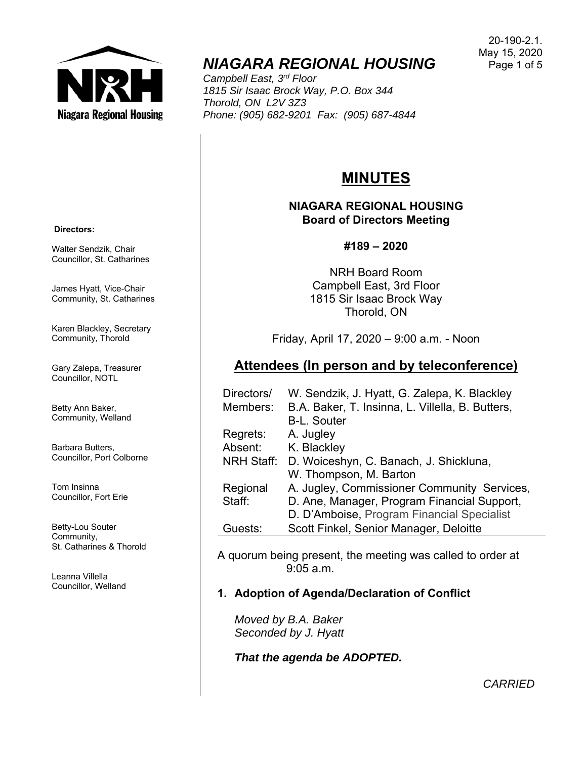

## *NIAGARA REGIONAL HOUSING*

*Campbell East, 3rd Floor 1815 Sir Isaac Brock Way, P.O. Box 344 Thorold, ON L2V 3Z3 Phone: (905) 682-9201 Fax: (905) 687-4844* 

#### 20-190-2.1. May 15, 2020 Page 1 of 5

# **MINUTES**

**NIAGARA REGIONAL HOUSING Board of Directors Meeting** 

#### **#189 – 2020**

NRH Board Room Campbell East, 3rd Floor 1815 Sir Isaac Brock Way Thorold, ON

Friday, April 17, 2020 – 9:00 a.m. - Noon

### **Attendees (In person and by teleconference)**

| Directors/        | W. Sendzik, J. Hyatt, G. Zalepa, K. Blackley     |
|-------------------|--------------------------------------------------|
| Members:          | B.A. Baker, T. Insinna, L. Villella, B. Butters, |
|                   | <b>B-L. Souter</b>                               |
| Regrets:          | A. Jugley                                        |
| Absent:           | K. Blackley                                      |
| <b>NRH Staff:</b> | D. Woiceshyn, C. Banach, J. Shickluna,           |
|                   | W. Thompson, M. Barton                           |
| Regional          | A. Jugley, Commissioner Community Services,      |
| Staff:            | D. Ane, Manager, Program Financial Support,      |
|                   | D. D'Amboise, Program Financial Specialist       |
| Guests:           | Scott Finkel, Senior Manager, Deloitte           |

A quorum being present, the meeting was called to order at 9:05 a.m.

### **1. Adoption of Agenda/Declaration of Conflict**

*Moved by B.A. Baker Seconded by J. Hyatt* 

*That the agenda be ADOPTED.* 

 **Directors:** 

Walter Sendzik, Chair Councillor, St. Catharines

James Hyatt, Vice-Chair Community, St. Catharines

Karen Blackley, Secretary Community, Thorold

Gary Zalepa, Treasurer Councillor, NOTL

Betty Ann Baker, Community, Welland

Barbara Butters, Councillor, Port Colborne

Tom Insinna Councillor, Fort Erie

Betty-Lou Souter Community, St. Catharines & Thorold

Leanna Villella Councillor, Welland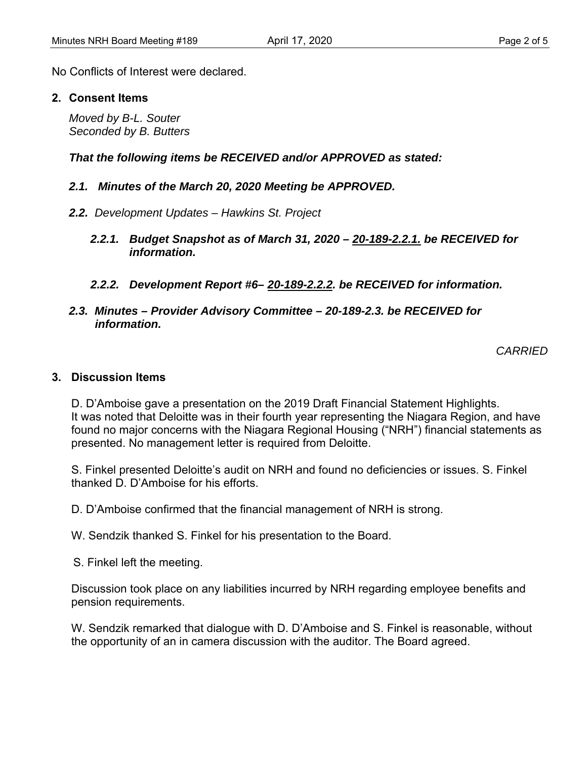No Conflicts of Interest were declared.

#### **2. Consent Items**

*Moved by B-L. Souter Seconded by B. Butters* 

*That the following items be RECEIVED and/or APPROVED as stated:* 

#### *2.1. Minutes of the March 20, 2020 Meeting be APPROVED.*

- *2.2. Development Updates Hawkins St. Project* 
	- *2.2.1. Budget Snapshot as of March 31, 2020 20-189-2.2.1. be RECEIVED for information.*
	- *2.2.2. Development Report #6– 20-189-2.2.2. be RECEIVED for information.*

#### *2.3. Minutes – Provider Advisory Committee – 20-189-2.3. be RECEIVED for information.*

*CARRIED* 

#### **3. Discussion Items**

D. D'Amboise gave a presentation on the 2019 Draft Financial Statement Highlights. It was noted that Deloitte was in their fourth year representing the Niagara Region, and have found no major concerns with the Niagara Regional Housing ("NRH") financial statements as presented. No management letter is required from Deloitte.

S. Finkel presented Deloitte's audit on NRH and found no deficiencies or issues. S. Finkel thanked D. D'Amboise for his efforts.

D. D'Amboise confirmed that the financial management of NRH is strong.

W. Sendzik thanked S. Finkel for his presentation to the Board.

S. Finkel left the meeting.

Discussion took place on any liabilities incurred by NRH regarding employee benefits and pension requirements.

W. Sendzik remarked that dialogue with D. D'Amboise and S. Finkel is reasonable, without the opportunity of an in camera discussion with the auditor. The Board agreed.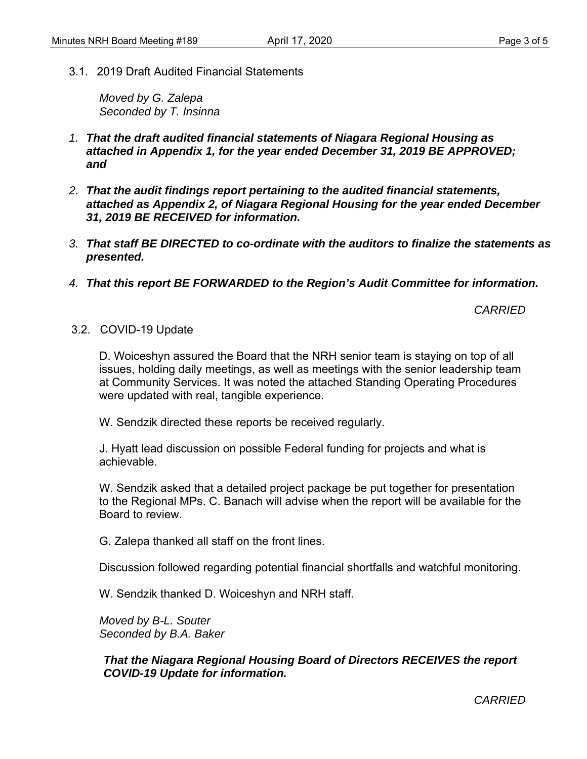3.1. 2019 Draft Audited Financial Statements

*Moved by G. Zalepa Seconded by T. Insinna* 

- *1. That the draft audited financial statements of Niagara Regional Housing as attached in Appendix 1, for the year ended December 31, 2019 BE APPROVED; and*
- *2. That the audit findings report pertaining to the audited financial statements, attached as Appendix 2, of Niagara Regional Housing for the year ended December 31, 2019 BE RECEIVED for information.*
- *3. That staff BE DIRECTED to co-ordinate with the auditors to finalize the statements as presented.*
- *4. That this report BE FORWARDED to the Region's Audit Committee for information.*

*CARRIED* 

3.2. COVID-19 Update

D. Woiceshyn assured the Board that the NRH senior team is staying on top of all issues, holding daily meetings, as well as meetings with the senior leadership team at Community Services. It was noted the attached Standing Operating Procedures were updated with real, tangible experience.

W. Sendzik directed these reports be received regularly.

J. Hyatt lead discussion on possible Federal funding for projects and what is achievable.

W. Sendzik asked that a detailed project package be put together for presentation to the Regional MPs. C. Banach will advise when the report will be available for the Board to review.

G. Zalepa thanked all staff on the front lines.

Discussion followed regarding potential financial shortfalls and watchful monitoring.

W. Sendzik thanked D. Woiceshyn and NRH staff.

*Moved by B-L. Souter Seconded by B.A. Baker* 

*That the Niagara Regional Housing Board of Directors RECEIVES the report COVID-19 Update for information.* 

*CARRIED*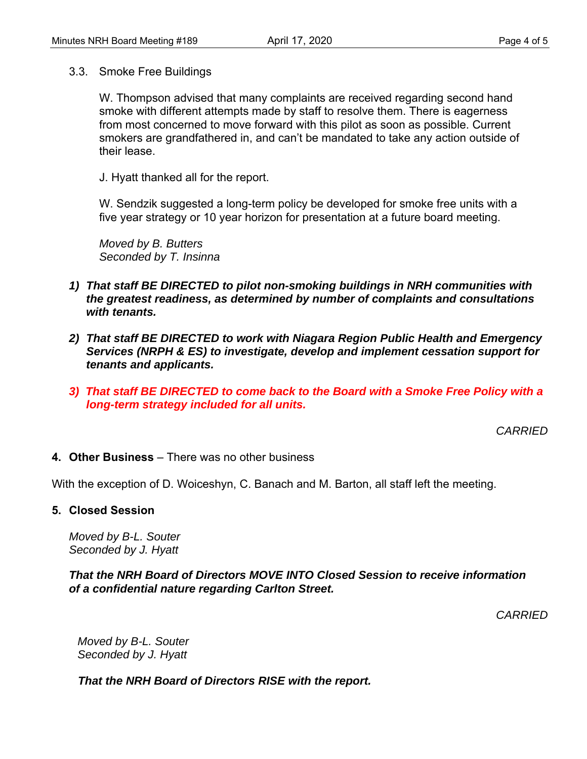3.3. Smoke Free Buildings

W. Thompson advised that many complaints are received regarding second hand smoke with different attempts made by staff to resolve them. There is eagerness from most concerned to move forward with this pilot as soon as possible. Current smokers are grandfathered in, and can't be mandated to take any action outside of their lease.

J. Hyatt thanked all for the report.

W. Sendzik suggested a long-term policy be developed for smoke free units with a five year strategy or 10 year horizon for presentation at a future board meeting.

*Moved by B. Butters Seconded by T. Insinna* 

- *1) That staff BE DIRECTED to pilot non-smoking buildings in NRH communities with the greatest readiness, as determined by number of complaints and consultations with tenants.*
- *2) That staff BE DIRECTED to work with Niagara Region Public Health and Emergency Services (NRPH & ES) to investigate, develop and implement cessation support for tenants and applicants.*
- *3) That staff BE DIRECTED to come back to the Board with a Smoke Free Policy with a long-term strategy included for all units.*

*CARRIED* 

**4. Other Business** – There was no other business

With the exception of D. Woiceshyn, C. Banach and M. Barton, all staff left the meeting.

**5. Closed Session** 

*Moved by B-L. Souter Seconded by J. Hyatt* 

*That the NRH Board of Directors MOVE INTO Closed Session to receive information of a confidential nature regarding Carlton Street.* 

*CARRIED* 

*Moved by B-L. Souter Seconded by J. Hyatt* 

*That the NRH Board of Directors RISE with the report.*